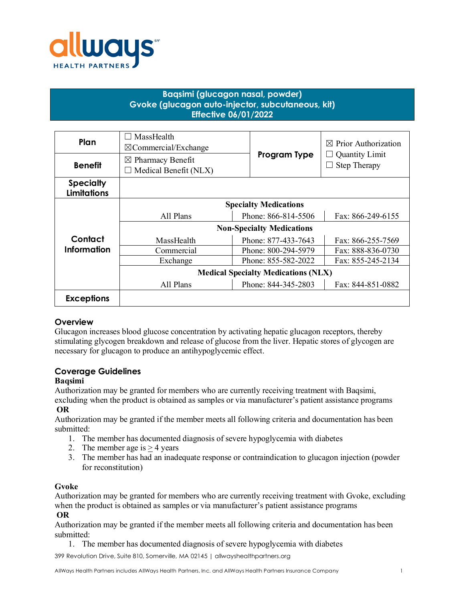

# **Baqsimi (glucagon nasal, powder) Gvoke (glucagon auto-injector, subcutaneous, kit) Effective 06/01/2022**

| Plan                                   | MassHealth<br>$\Box$<br>$\boxtimes$ Commercial/Exchange |                     | $\boxtimes$ Prior Authorization              |
|----------------------------------------|---------------------------------------------------------|---------------------|----------------------------------------------|
| <b>Benefit</b>                         | $\boxtimes$ Pharmacy Benefit                            | Program Type        | <b>Quantity Limit</b><br><b>Step Therapy</b> |
|                                        | $\Box$ Medical Benefit (NLX)                            |                     |                                              |
| <b>Specialty</b><br><b>Limitations</b> |                                                         |                     |                                              |
|                                        | <b>Specialty Medications</b>                            |                     |                                              |
|                                        | All Plans                                               | Phone: 866-814-5506 | Fax: 866-249-6155                            |
|                                        | <b>Non-Specialty Medications</b>                        |                     |                                              |
| Contact                                | MassHealth                                              | Phone: 877-433-7643 | Fax: 866-255-7569                            |
| <b>Information</b>                     | Commercial                                              | Phone: 800-294-5979 | Fax: 888-836-0730                            |
|                                        | Exchange                                                | Phone: 855-582-2022 | Fax: 855-245-2134                            |
|                                        | <b>Medical Specialty Medications (NLX)</b>              |                     |                                              |
|                                        | All Plans                                               | Phone: 844-345-2803 | Fax: 844-851-0882                            |
| <b>Exceptions</b>                      |                                                         |                     |                                              |

## **Overview**

Glucagon increases blood glucose concentration by activating hepatic glucagon receptors, thereby stimulating glycogen breakdown and release of glucose from the liver. Hepatic stores of glycogen are necessary for glucagon to produce an antihypoglycemic effect.

# **Coverage Guidelines**

### **Baqsimi**

Authorization may be granted for members who are currently receiving treatment with Baqsimi,

excluding when the product is obtained as samples or via manufacturer's patient assistance programs **OR**

Authorization may be granted if the member meets all following criteria and documentation has been submitted:

- 1. The member has documented diagnosis of severe hypoglycemia with diabetes
- 2. The member age is  $> 4$  years
- 3. The member has had an inadequate response or contraindication to glucagon injection (powder for reconstitution)

### **Gvoke**

Authorization may be granted for members who are currently receiving treatment with Gvoke, excluding when the product is obtained as samples or via manufacturer's patient assistance programs **OR**

Authorization may be granted if the member meets all following criteria and documentation has been submitted:

1. The member has documented diagnosis of severe hypoglycemia with diabetes

399 Revolution Drive, Suite 810, Somerville, MA 02145 | allwayshealthpartners.org